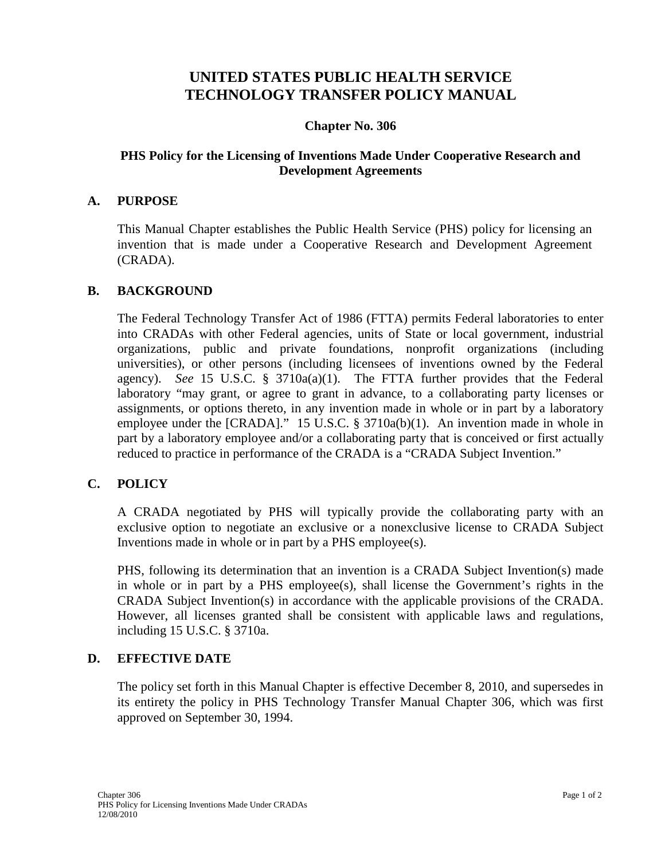# **UNITED STATES PUBLIC HEALTH SERVICE TECHNOLOGY TRANSFER POLICY MANUAL**

## **Chapter No. 306**

## **PHS Policy for the Licensing of Inventions Made Under Cooperative Research and Development Agreements**

#### **A. PURPOSE**

This Manual Chapter establishes the Public Health Service (PHS) policy for licensing an invention that is made under a Cooperative Research and Development Agreement (CRADA).

#### **B. BACKGROUND**

The Federal Technology Transfer Act of 1986 (FTTA) permits Federal laboratories to enter into CRADAs with other Federal agencies, units of State or local government, industrial organizations, public and private foundations, nonprofit organizations (including universities), or other persons (including licensees of inventions owned by the Federal agency). *See* 15 U.S.C. §  $3710a(a)(1)$ . The FTTA further provides that the Federal laboratory "may grant, or agree to grant in advance, to a collaborating party licenses or assignments, or options thereto, in any invention made in whole or in part by a laboratory employee under the [CRADA]." 15 U.S.C. § 3710a(b)(1). An invention made in whole in part by a laboratory employee and/or a collaborating party that is conceived or first actually reduced to practice in performance of the CRADA is a "CRADA Subject Invention."

#### **C. POLICY**

A CRADA negotiated by PHS will typically provide the collaborating party with an exclusive option to negotiate an exclusive or a nonexclusive license to CRADA Subject Inventions made in whole or in part by a PHS employee(s).

PHS, following its determination that an invention is a CRADA Subject Invention(s) made in whole or in part by a PHS employee(s), shall license the Government's rights in the CRADA Subject Invention(s) in accordance with the applicable provisions of the CRADA. However, all licenses granted shall be consistent with applicable laws and regulations, including 15 U.S.C. § 3710a.

#### **D. EFFECTIVE DATE**

The policy set forth in this Manual Chapter is effective December 8, 2010, and supersedes in its entirety the policy in PHS Technology Transfer Manual Chapter 306, which was first approved on September 30, 1994.